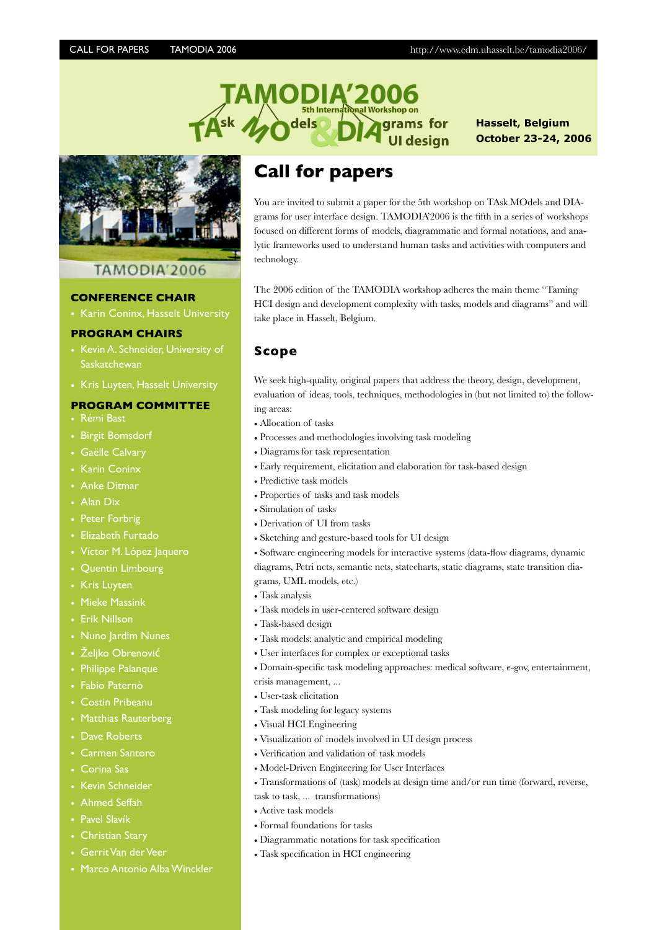**Hasselt, Belgium October 23-24, 2006**



# TAMODIA'2006

#### **CONFERENCE CHAIR**

• Karin Coninx, Hasselt University

#### **PROGRAM CHAIRS**

- Kevin A. Schneider, University of **Saskatchewan**
- Kris Luyten, Hasselt University

#### **PROGRAM COMMITTEE**

- Rémi Bast
- Birgit Bomsdorf
- Gaëlle Calvary
- Karin Coninx
- Anke Ditmar
- Alan Dix
- Peter Forbrig
- Elizabeth Furtado
- Víctor M. López Jaquero
- Quentin Limbourg
- Kris Luyten
- Mieke Massink
- Erik Nillson
- Nuno Jardim Nunes
- Željko Obrenović
- Philippe Palanque
- Fabio Paternò
- Costin Pribeanu
- Matthias Rauterberg
- Dave Roberts
- Carmen Santoro
- Corina Sas
- Kevin Schneider
- Ahmed Seffah
- Pavel Slavík
- Christian Stary
- Gerrit Van der Veer
- Marco Antonio Alba Winckler

dels

You are invited to submit a paper for the 5th workshop on TAsk MOdels and DIAgrams for user interface design. TAMODIA'2006 is the fifth in a series of workshops focused on different forms of models, diagrammatic and formal notations, and analytic frameworks used to understand human tasks and activities with computers and technology.

for desian

The 2006 edition of the TAMODIA workshop adheres the main theme "Taming HCI design and development complexity with tasks, models and diagrams" and will take place in Hasselt, Belgium.

#### **Scope**

We seek high-quality, original papers that address the theory, design, development, evaluation of ideas, tools, techniques, methodologies in (but not limited to) the following areas:

- Allocation of tasks
- Processes and methodologies involving task modeling
- Diagrams for task representation
- Early requirement, elicitation and elaboration for task-based design
- Predictive task models
- Properties of tasks and task models
- Simulation of tasks
- Derivation of UI from tasks
- Sketching and gesture-based tools for UI design

• Software engineering models for interactive systems (data-flow diagrams, dynamic diagrams, Petri nets, semantic nets, statecharts, static diagrams, state transition dia-

grams, UML models, etc.)

- Task analysis
- Task models in user-centered software design
- Task-based design
- Task models: analytic and empirical modeling
- User interfaces for complex or exceptional tasks
- Domain-specific task modeling approaches: medical software, e-gov, entertainment,
- crisis management, ...
- User-task elicitation
- Task modeling for legacy systems
- Visual HCI Engineering
- Visualization of models involved in UI design process
- Verification and validation of task models
- Model-Driven Engineering for User Interfaces
- Transformations of (task) models at design time and/or run time (forward, reverse,
- task to task, ... transformations)
- Active task models
- Formal foundations for tasks
- Diagrammatic notations for task specification
- Task specification in HCI engineering

# **Call for papers**